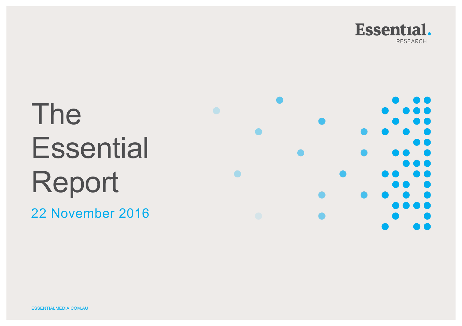

# The **Essential** Report

22 November 2016

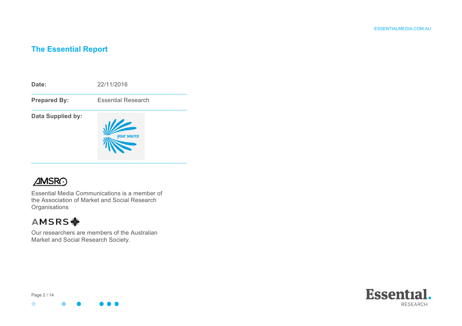# **The Essential Report**



# **AMSRO**

Essential Media Communications is a member of the Association of Market and Social Research **Organisations** 

# AMSRS <

Our researchers are members of the Australian Market and Social Research Society.



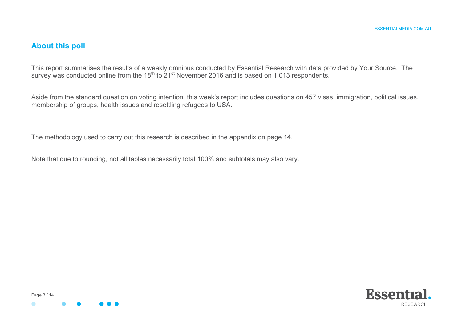# **About this poll**

This report summarises the results of a weekly omnibus conducted by Essential Research with data provided by Your Source. The survey was conducted online from the 18th to 21st November 2016 and is based on 1,013 respondents.

Aside from the standard question on voting intention, this week's report includes questions on 457 visas, immigration, political issues, membership of groups, health issues and resettling refugees to USA.

The methodology used to carry out this research is described in the appendix on page 14.

Note that due to rounding, not all tables necessarily total 100% and subtotals may also vary.



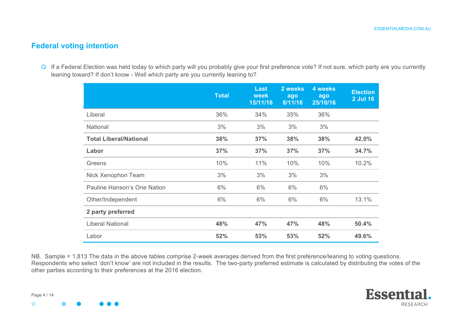## **Federal voting intention**

Q If a Federal Election was held today to which party will you probably give your first preference vote? If not sure, which party are you currently leaning toward? If don't know - Well which party are you currently leaning to?

|                               | <b>Total</b> | <b>Last</b><br>week<br>15/11/16 | 2 weeks<br>ago<br>8/11/16 | 4 weeks<br>ago<br>25/10/16 | <b>Election</b><br><b>2 Jul 16</b> |
|-------------------------------|--------------|---------------------------------|---------------------------|----------------------------|------------------------------------|
| Liberal                       | 36%          | 34%                             | 35%                       | 36%                        |                                    |
| <b>National</b>               | 3%           | 3%                              | 3%                        | 3%                         |                                    |
| <b>Total Liberal/National</b> | 38%          | 37%                             | 38%                       | 38%                        | 42.0%                              |
| Labor                         | 37%          | 37%                             | 37%                       | 37%                        | 34.7%                              |
| Greens                        | 10%          | 11%                             | 10%                       | 10%                        | 10.2%                              |
| Nick Xenophon Team            | 3%           | 3%                              | 3%                        | 3%                         |                                    |
| Pauline Hanson's One Nation   | 6%           | 6%                              | 6%                        | 6%                         |                                    |
| Other/Independent             | 6%           | 6%                              | 6%                        | 6%                         | 13.1%                              |
| 2 party preferred             |              |                                 |                           |                            |                                    |
| <b>Liberal National</b>       | 48%          | 47%                             | 47%                       | 48%                        | 50.4%                              |
| Labor                         | 52%          | 53%                             | 53%                       | 52%                        | 49.6%                              |

NB. Sample = 1,813 The data in the above tables comprise 2-week averages derived from the first preference/leaning to voting questions. Respondents who select 'don't know' are not included in the results. The two-party preferred estimate is calculated by distributing the votes of the other parties according to their preferences at the 2016 election.

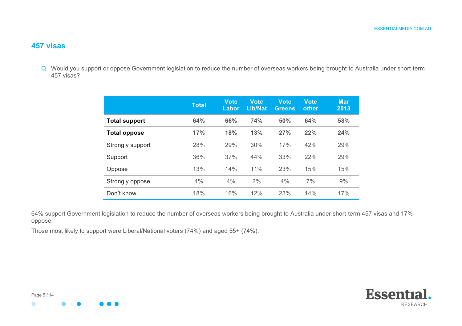#### **457 visas**

Q Would you support or oppose Government legislation to reduce the number of overseas workers being brought to Australia under short-term 457 visas?

|                      | <b>Total</b> | Vote<br>Labor | <b>Vote</b><br><b>Lib/Nat</b> | Vote<br><b>Greens</b> | <b>Vote</b><br>other | <b>Mar</b><br>2013 |
|----------------------|--------------|---------------|-------------------------------|-----------------------|----------------------|--------------------|
| <b>Total support</b> | 64%          | 66%           | 74%                           | 50%                   | 64%                  | 58%                |
| <b>Total oppose</b>  | 17%          | 18%           | 13%                           | 27%                   | 22%                  | 24%                |
| Strongly support     | 28%          | 29%           | 30%                           | 17%                   | 42%                  | 29%                |
| Support              | 36%          | 37%           | 44%                           | 33%                   | 22%                  | 29%                |
| Oppose               | 13%          | 14%           | 11%                           | 23%                   | 15%                  | 15%                |
| Strongly oppose      | 4%           | 4%            | 2%                            | 4%                    | 7%                   | 9%                 |
| Don't know           | 18%          | 16%           | 12%                           | 23%                   | 14%                  | 17%                |

64% support Government legislation to reduce the number of overseas workers being brought to Australia under short-term 457 visas and 17% oppose.

Those most likely to support were Liberal/National voters (74%) and aged 55+ (74%).

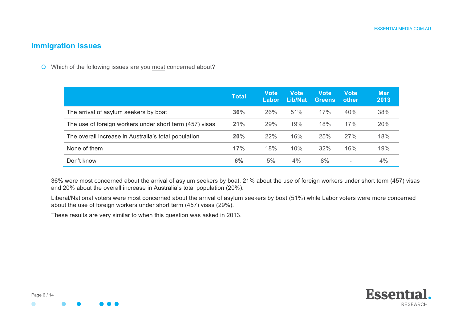#### **Immigration issues**

Q Which of the following issues are you most concerned about?

|                                                         | <b>Total</b> | <b>Vote</b><br>Labor | <b>Vote</b><br>Lib/Nat | <b>Vote</b><br>Greens | <b>Vote</b><br>other | <b>Mar</b><br>2013 |
|---------------------------------------------------------|--------------|----------------------|------------------------|-----------------------|----------------------|--------------------|
| The arrival of asylum seekers by boat                   | 36%          | 26%                  | 51%                    | 17%                   | 40%                  | 38%                |
| The use of foreign workers under short term (457) visas | 21%          | 29%                  | 19%                    | 18%                   | 17%                  | 20%                |
| The overall increase in Australia's total population    | 20%          | 22%                  | 16%                    | 25%                   | 27%                  | 18%                |
| None of them                                            | 17%          | 18%                  | 10%                    | 32%                   | 16%                  | 19%                |
| Don't know                                              | 6%           | 5%                   | 4%                     | 8%                    |                      | 4%                 |

36% were most concerned about the arrival of asylum seekers by boat, 21% about the use of foreign workers under short term (457) visas and 20% about the overall increase in Australia's total population (20%).

Liberal/National voters were most concerned about the arrival of asylum seekers by boat (51%) while Labor voters were more concerned about the use of foreign workers under short term (457) visas (29%).

These results are very similar to when this question was asked in 2013.



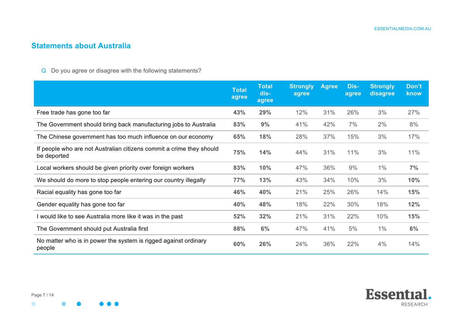# **Statements about Australia**

Q Do you agree or disagree with the following statements?

 $\bullet$   $\bullet$ 

|                                                                                     | <b>Total</b><br>agree | <b>Total</b><br>dis-<br>agree | <b>Strongly</b><br>agree | <b>Agree</b> | Dis-<br>agree | <b>Strongly</b><br>disagree | Don't<br>know |
|-------------------------------------------------------------------------------------|-----------------------|-------------------------------|--------------------------|--------------|---------------|-----------------------------|---------------|
| Free trade has gone too far                                                         | 43%                   | 29%                           | 12%                      | 31%          | 26%           | 3%                          | 27%           |
| The Government should bring back manufacturing jobs to Australia                    | 83%                   | 9%                            | 41%                      | 42%          | 7%            | 2%                          | 8%            |
| The Chinese government has too much influence on our economy                        | 65%                   | 18%                           | 28%                      | 37%          | 15%           | 3%                          | 17%           |
| If people who are not Australian citizens commit a crime they should<br>be deported | 75%                   | 14%                           | 44%                      | 31%          | 11%           | 3%                          | 11%           |
| Local workers should be given priority over foreign workers                         | 83%                   | 10%                           | 47%                      | 36%          | 9%            | 1%                          | 7%            |
| We should do more to stop people entering our country illegally                     | 77%                   | 13%                           | 43%                      | 34%          | 10%           | 3%                          | 10%           |
| Racial equality has gone too far                                                    | 46%                   | 40%                           | 21%                      | 25%          | 26%           | 14%                         | 15%           |
| Gender equality has gone too far                                                    | 40%                   | 48%                           | 18%                      | 22%          | 30%           | 18%                         | 12%           |
| I would like to see Australia more like it was in the past                          | 52%                   | 32%                           | 21%                      | 31%          | 22%           | 10%                         | 15%           |
| The Government should put Australia first                                           | 88%                   | 6%                            | 47%                      | 41%          | 5%            | 1%                          | 6%            |
| No matter who is in power the system is rigged against ordinary<br>people           | 60%                   | 26%                           | 24%                      | 36%          | 22%           | 4%                          | 14%           |



 $\bullet$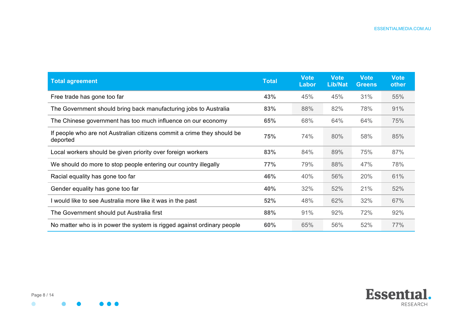| <b>Total agreement</b>                                                              | <b>Total</b> | <b>Vote</b><br><b>Labor</b> | <b>Vote</b><br><b>Lib/Nat</b> | <b>Vote</b><br><b>Greens</b> | <b>Vote</b><br>other |
|-------------------------------------------------------------------------------------|--------------|-----------------------------|-------------------------------|------------------------------|----------------------|
| Free trade has gone too far                                                         | 43%          | 45%                         | 45%                           | 31%                          | 55%                  |
| The Government should bring back manufacturing jobs to Australia                    | 83%          | 88%                         | 82%                           | 78%                          | 91%                  |
| The Chinese government has too much influence on our economy                        | 65%          | 68%                         | 64%                           | 64%                          | 75%                  |
| If people who are not Australian citizens commit a crime they should be<br>deported | 75%          | 74%                         | 80%                           | 58%                          | 85%                  |
| Local workers should be given priority over foreign workers                         | 83%          | 84%                         | 89%                           | 75%                          | 87%                  |
| We should do more to stop people entering our country illegally                     | 77%          | 79%                         | 88%                           | 47%                          | 78%                  |
| Racial equality has gone too far                                                    | 46%          | 40%                         | 56%                           | 20%                          | 61%                  |
| Gender equality has gone too far                                                    | 40%          | 32%                         | 52%                           | 21%                          | 52%                  |
| I would like to see Australia more like it was in the past                          | 52%          | 48%                         | 62%                           | 32%                          | 67%                  |
| The Government should put Australia first                                           | 88%          | 91%                         | 92%                           | 72%                          | 92%                  |
| No matter who is in power the system is rigged against ordinary people              | 60%          | 65%                         | 56%                           | 52%                          | 77%                  |

Ω

 $\bullet\bullet\bullet$ 

 $\bullet$ 

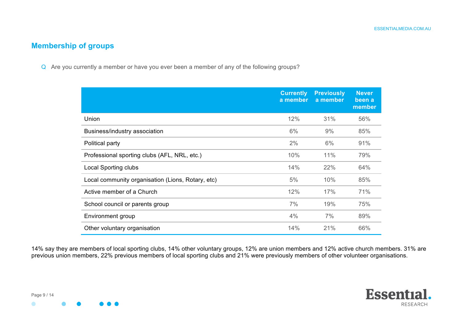## **Membership of groups**

Q Are you currently a member or have you ever been a member of any of the following groups?

|                                                   | <b>Currently</b><br>a member | <b>Previously</b><br>a member | <b>Never</b><br>been a<br>member |
|---------------------------------------------------|------------------------------|-------------------------------|----------------------------------|
| Union                                             | 12%                          | 31%                           | 56%                              |
| Business/industry association                     | 6%                           | 9%                            | 85%                              |
| Political party                                   | 2%                           | 6%                            | 91%                              |
| Professional sporting clubs (AFL, NRL, etc.)      | 10%                          | 11%                           | 79%                              |
| <b>Local Sporting clubs</b>                       | 14%                          | 22%                           | 64%                              |
| Local community organisation (Lions, Rotary, etc) | 5%                           | 10%                           | 85%                              |
| Active member of a Church                         | 12%                          | 17%                           | 71%                              |
| School council or parents group                   | 7%                           | 19%                           | 75%                              |
| Environment group                                 | 4%                           | 7%                            | 89%                              |
| Other voluntary organisation                      | 14%                          | 21%                           | 66%                              |

14% say they are members of local sporting clubs, 14% other voluntary groups, 12% are union members and 12% active church members. 31% are previous union members, 22% previous members of local sporting clubs and 21% were previously members of other volunteer organisations.



Page 9 / 14

 $\bullet$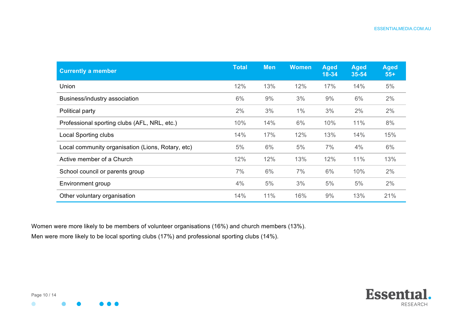| <b>Currently a member</b>                         | <b>Total</b> | <b>Men</b> | <b>Women</b> | <b>Aged</b><br>18-34 | <b>Aged</b><br>$35 - 54$ | <b>Aged</b><br>$55+$ |
|---------------------------------------------------|--------------|------------|--------------|----------------------|--------------------------|----------------------|
| Union                                             | 12%          | 13%        | 12%          | 17%                  | 14%                      | 5%                   |
| Business/industry association                     | 6%           | 9%         | 3%           | 9%                   | 6%                       | 2%                   |
| Political party                                   | 2%           | 3%         | 1%           | 3%                   | 2%                       | 2%                   |
| Professional sporting clubs (AFL, NRL, etc.)      | 10%          | 14%        | 6%           | 10%                  | 11%                      | 8%                   |
| <b>Local Sporting clubs</b>                       | 14%          | 17%        | 12%          | 13%                  | 14%                      | 15%                  |
| Local community organisation (Lions, Rotary, etc) | 5%           | 6%         | 5%           | 7%                   | 4%                       | 6%                   |
| Active member of a Church                         | 12%          | 12%        | 13%          | 12%                  | 11%                      | 13%                  |
| School council or parents group                   | 7%           | 6%         | 7%           | 6%                   | 10%                      | 2%                   |
| Environment group                                 | 4%           | 5%         | 3%           | 5%                   | 5%                       | 2%                   |
| Other voluntary organisation                      | 14%          | 11%        | 16%          | 9%                   | 13%                      | 21%                  |

Women were more likely to be members of volunteer organisations (16%) and church members (13%). Men were more likely to be local sporting clubs (17%) and professional sporting clubs (14%).

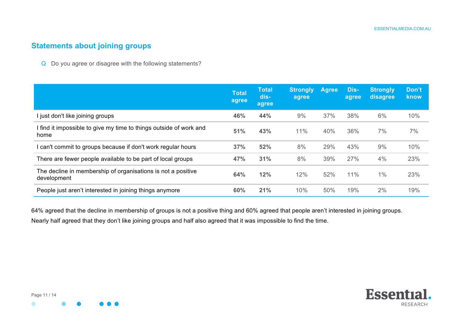# **Statements about joining groups**

Q Do you agree or disagree with the following statements?

|                                                                             | <b>Total</b><br>agree | <b>Total</b><br>dis-<br>agree | <b>Strongly</b><br>agree | <b>Agree</b> | Dis-<br>agree | <b>Strongly</b><br>disagree | Don't<br>know |
|-----------------------------------------------------------------------------|-----------------------|-------------------------------|--------------------------|--------------|---------------|-----------------------------|---------------|
| I just don't like joining groups                                            | 46%                   | 44%                           | 9%                       | 37%          | 38%           | 6%                          | 10%           |
| I find it impossible to give my time to things outside of work and<br>home  | 51%                   | 43%                           | 11%                      | 40%          | 36%           | 7%                          | 7%            |
| can't commit to groups because if don't work regular hours                  | 37%                   | 52%                           | 8%                       | 29%          | 43%           | 9%                          | 10%           |
| There are fewer people available to be part of local groups                 | 47%                   | 31%                           | 8%                       | 39%          | 27%           | 4%                          | 23%           |
| The decline in membership of organisations is not a positive<br>development | 64%                   | 12%                           | 12%                      | 52%          | 11%           | 1%                          | 23%           |
| People just aren't interested in joining things anymore                     | 60%                   | 21%                           | 10%                      | 50%          | 19%           | 2%                          | 19%           |

64% agreed that the decline in membership of groups is not a positive thing and 60% agreed that people aren't interested in joining groups. Nearly half agreed that they don't like joining groups and half also agreed that it was impossible to find the time.



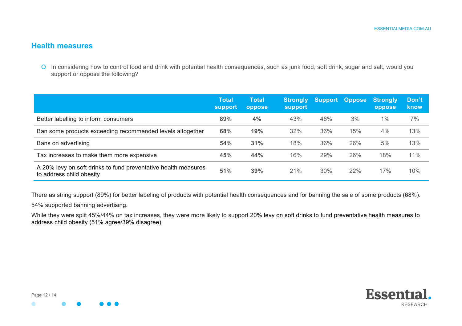#### **Health measures**

Q In considering how to control food and drink with potential health consequences, such as junk food, soft drink, sugar and salt, would you support or oppose the following?

|                                                                                            | <b>Total</b><br><b>support</b> | <b>Total</b><br>oppose | <b>Strongly</b><br>support | <b>Support</b> | <b>Oppose</b> | Strongly<br>oppose | Don't<br>know |
|--------------------------------------------------------------------------------------------|--------------------------------|------------------------|----------------------------|----------------|---------------|--------------------|---------------|
| Better labelling to inform consumers                                                       | 89%                            | 4%                     | 43%                        | 46%            | 3%            | $1\%$              | 7%            |
| Ban some products exceeding recommended levels altogether                                  | 68%                            | 19%                    | 32%                        | 36%            | 15%           | 4%                 | 13%           |
| Bans on advertising                                                                        | 54%                            | 31%                    | 18%                        | 36%            | 26%           | 5%                 | 13%           |
| Tax increases to make them more expensive                                                  | 45%                            | 44%                    | 16%                        | 29%            | 26%           | 18%                | 11%           |
| A 20% levy on soft drinks to fund preventative health measures<br>to address child obesity | 51%                            | 39%                    | 21%                        | 30%            | 22%           | 17%                | 10%           |

There as string support (89%) for better labeling of products with potential health consequences and for banning the sale of some products (68%).

54% supported banning advertising.

While they were split 45%/44% on tax increases, they were more likely to support 20% levy on soft drinks to fund preventative health measures to address child obesity (51% agree/39% disagree).

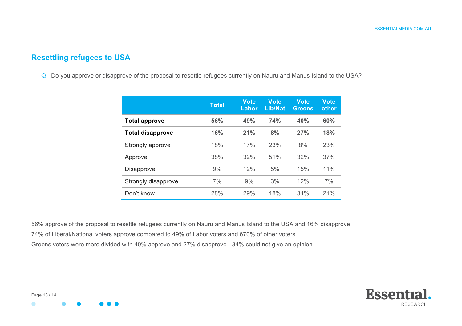# **Resettling refugees to USA**

Q Do you approve or disapprove of the proposal to resettle refugees currently on Nauru and Manus Island to the USA?

|                         | <b>Total</b> | <b>Vote</b><br>Labor | <b>Vote</b><br><b>Lib/Nat</b> | <b>Vote</b><br><b>Greens</b> | <b>Vote</b><br>other |
|-------------------------|--------------|----------------------|-------------------------------|------------------------------|----------------------|
| <b>Total approve</b>    | 56%          | 49%                  | 74%                           | 40%                          | 60%                  |
| <b>Total disapprove</b> | 16%          | 21%                  | 8%                            | 27%                          | 18%                  |
| Strongly approve        | 18%          | 17%                  | 23%                           | 8%                           | 23%                  |
| Approve                 | 38%          | 32%                  | 51%                           | 32%                          | 37%                  |
| <b>Disapprove</b>       | 9%           | 12%                  | 5%                            | 15%                          | 11%                  |
| Strongly disapprove     | 7%           | 9%                   | 3%                            | 12%                          | 7%                   |
| Don't know              | 28%          | 29%                  | 18%                           | 34%                          | 21%                  |

56% approve of the proposal to resettle refugees currently on Nauru and Manus Island to the USA and 16% disapprove. 74% of Liberal/National voters approve compared to 49% of Labor voters and 670% of other voters. Greens voters were more divided with 40% approve and 27% disapprove - 34% could not give an opinion.